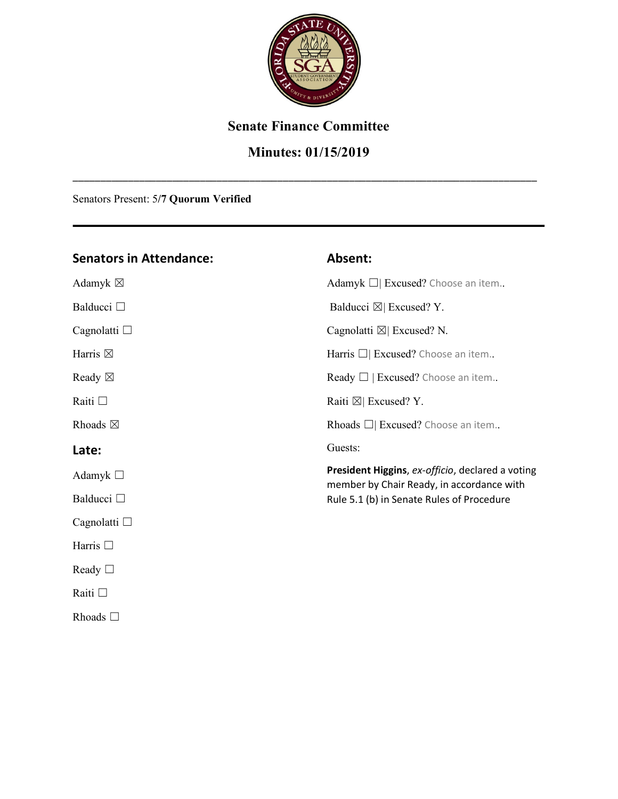

#### **Senate Finance Committee**

### **Minutes: 01/15/2019**

\_\_\_\_\_\_\_\_\_\_\_\_\_\_\_\_\_\_\_\_\_\_\_\_\_\_\_\_\_\_\_\_\_\_\_\_\_\_\_\_\_\_\_\_\_\_\_\_\_\_\_\_\_\_\_\_\_\_\_\_\_\_\_\_\_\_\_\_\_\_\_\_\_\_\_\_\_\_\_\_\_\_\_\_

Senators Present: 5**/7 Quorum Verified**

#### **Senators in Attendance:**  Adamyk  $\boxtimes$ Balducci □ Cagnolatti □ Harris  $\boxtimes$ Ready  $\boxtimes$ Raiti ☐ Rhoads  $\boxtimes$ **Late:**  Adamyk ☐ Balducci □ Cagnolatti □ Harris □ Ready □ Raiti ☐ Rhoads ☐ **Absent:** Adamyk □ Excused? Choose an item.. Balducci  $\boxtimes$  Excused? Y. Cagnolatti  $\boxtimes$  Excused? N. Harris □ Excused? Choose an item... Ready  $\Box$  | Excused? Choose an item.. Raiti ⊠| Excused? Y. Rhoads ☐| Excused? Choose an item.. Guests: **President Higgins**, *ex-officio*, declared a voting member by Chair Ready, in accordance with Rule 5.1 (b) in Senate Rules of Procedure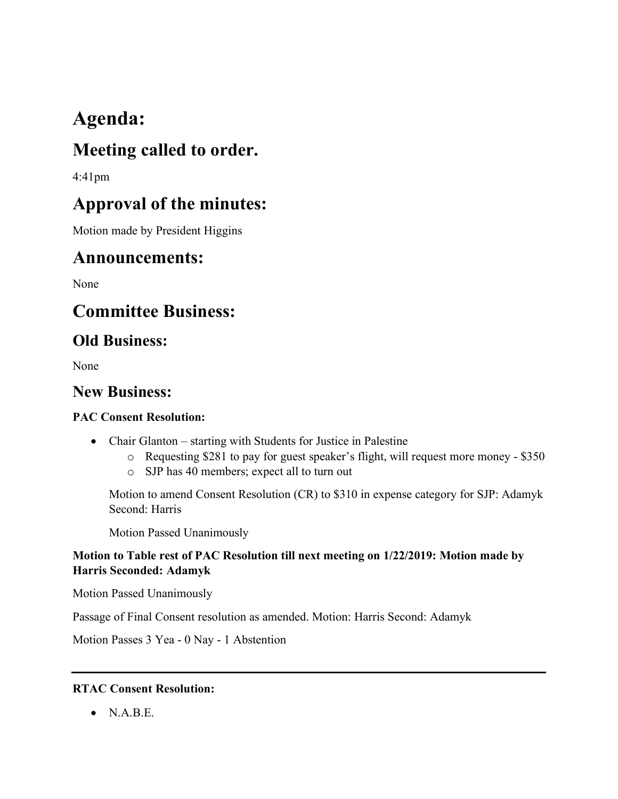# **Agenda:**

## **Meeting called to order.**

4:41pm

## **Approval of the minutes:**

Motion made by President Higgins

### **Announcements:**

None

## **Committee Business:**

### **Old Business:**

None

### **New Business:**

#### **PAC Consent Resolution:**

- Chair Glanton starting with Students for Justice in Palestine
	- o Requesting \$281 to pay for guest speaker's flight, will request more money \$350
	- o SJP has 40 members; expect all to turn out

Motion to amend Consent Resolution (CR) to \$310 in expense category for SJP: Adamyk Second: Harris

Motion Passed Unanimously

#### **Motion to Table rest of PAC Resolution till next meeting on 1/22/2019: Motion made by Harris Seconded: Adamyk**

Motion Passed Unanimously

Passage of Final Consent resolution as amended. Motion: Harris Second: Adamyk

Motion Passes 3 Yea - 0 Nay - 1 Abstention

#### **RTAC Consent Resolution:**

 $\bullet$  NABE